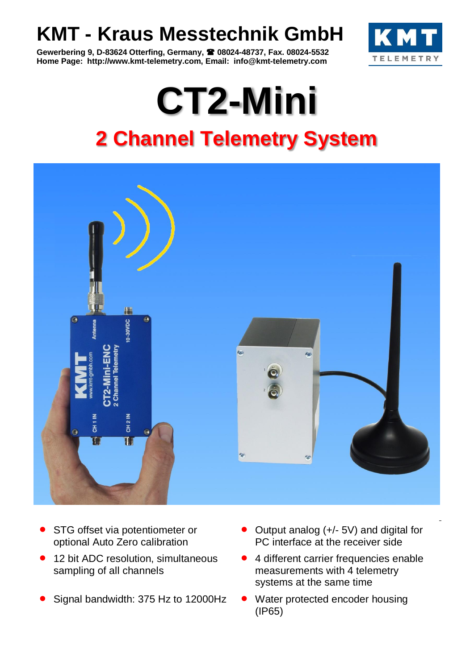## **KMT - Kraus Messtechnik GmbH**



**Gewerbering 9, D-83624 Otterfing, Germany, 08024-48737, Fax. 08024-5532 Home Page: http://www.kmt-telemetry.com, Email: info@kmt-telemetry.com**

## **CT2-Mini 2 Channel Telemetry System**



- STG offset via potentiometer or optional Auto Zero calibration
- 12 bit ADC resolution, simultaneous sampling of all channels
- Signal bandwidth: 375 Hz to 12000Hz Water protected encoder housing
- Output analog (+/- 5V) and digital for PC interface at the receiver side
- 4 different carrier frequencies enable measurements with 4 telemetry systems at the same time
	- (IP65)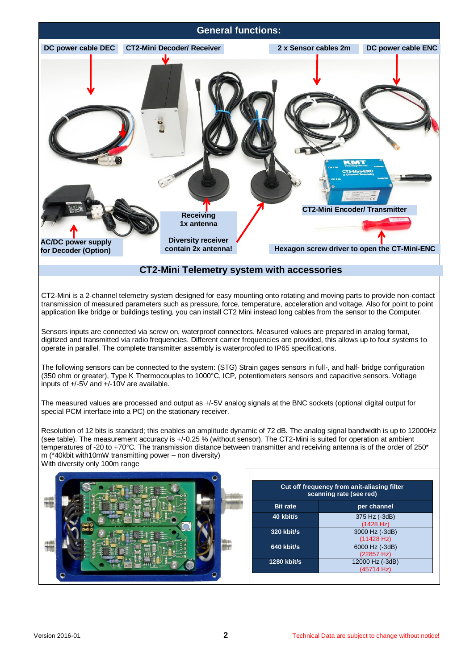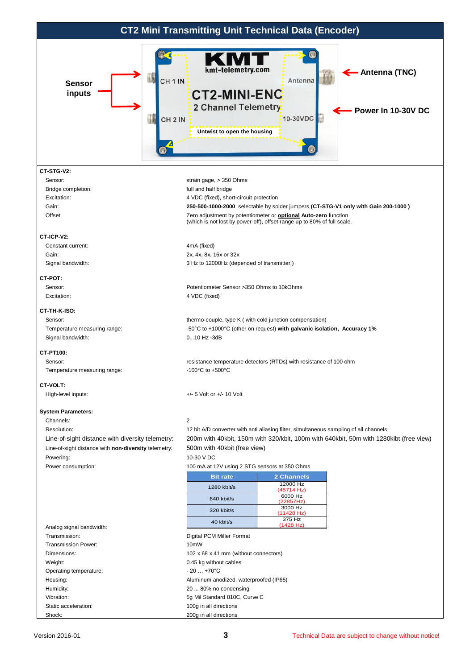